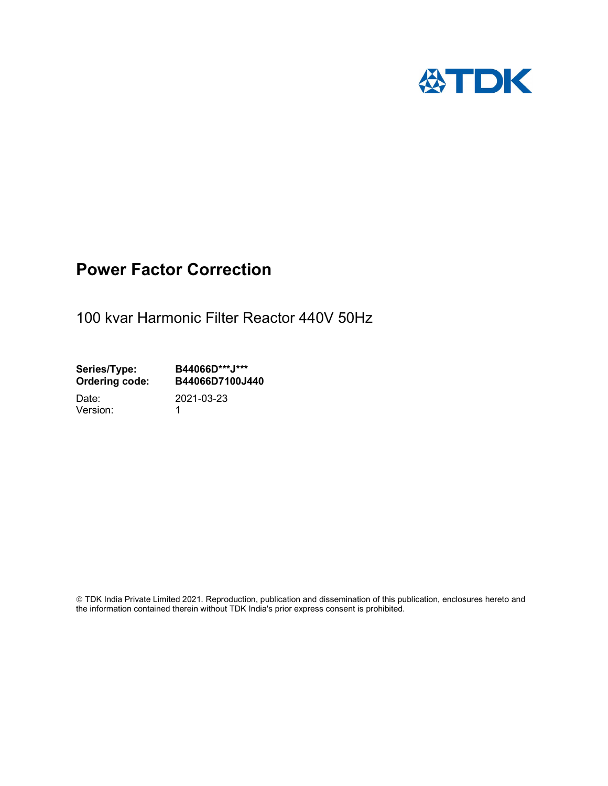

## Power Factor Correction

100 kvar Harmonic Filter Reactor 440V 50Hz

Series/Type: B44066D\*\*\*J\*\*\*<br>Ordering code: B44066D7100J4 B44066D7100J440 Date: 2021-03-23

Version: 1

 TDK India Private Limited 2021. Reproduction, publication and dissemination of this publication, enclosures hereto and the information contained therein without TDK India's prior express consent is prohibited.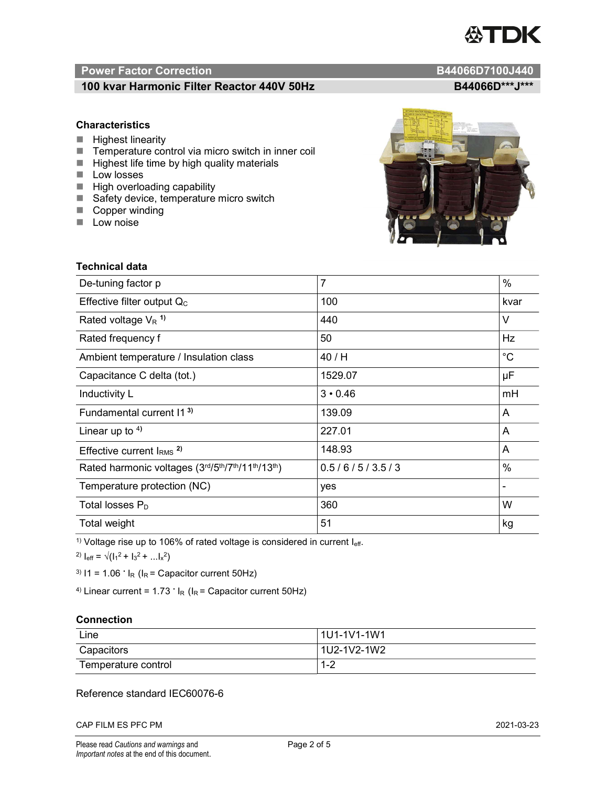# TDK

### Power Factor Correction and Content of Content of Content of Content of Content of Content of Content of Content of Content of Content of Content of Content of Content of Content of Content of Content of Content of Content

### 100 kvar Harmonic Filter Reactor 440V 50Hz B44066D\*\*\*J\*\*\*

#### **Characteristics**

- $\blacksquare$  Highest linearity
- Temperature control via micro switch in inner coil
- $\blacksquare$  Highest life time by high quality materials
- **Low losses**
- $\blacksquare$  High overloading capability
- Safety device, temperature micro switch
- Copper winding
- **Low noise**

| <b>Technical data</b>                           |                |             |
|-------------------------------------------------|----------------|-------------|
| De-tuning factor p                              | $\overline{7}$ | %           |
| Effective filter output $Q_C$                   | 100            | kvar        |
| Rated voltage $V_R$ <sup>1)</sup>               | 440            | V           |
| Rated frequency f                               | 50             | Hz          |
| Ambient temperature / Insulation class          | 40 / H         | $^{\circ}C$ |
| Capacitance C delta (tot.)                      | 1529.07        | μF          |
| Inductivity L                                   | $3 \cdot 0.46$ | mH          |
| Fundamental current 11 <sup>3)</sup>            | 139.09         | A           |
| Linear up to $4$ )                              | 227.01         | A           |
| Effective current $l_{RMS}$ <sup>2)</sup>       | 148.93         | A           |
| Rated harmonic voltages (3rd/5th/7th/11th/13th) | 0.5/6/5/3.5/3  | %           |
| Temperature protection (NC)                     | yes            |             |
| Total losses $P_D$                              | 360            | W           |
| Total weight                                    | 51             | kg          |

<sup>1)</sup> Voltage rise up to 106% of rated voltage is considered in current  $I_{\text{eff}}$ .

<sup>2)</sup>  $I_{eff} = \sqrt{(I_1^2 + I_3^2 + ... I_x^2)}$ 

<sup>3)</sup>  $11 = 1.06$   $\cdot$   $I_R$  ( $I_R$  = Capacitor current 50Hz)

<sup>4)</sup> Linear current =  $1.73$   $\cdot$  I<sub>R</sub> (I<sub>R</sub> = Capacitor current 50Hz)

#### **Connection**

| Line                | 1U1-1V1-1W1   |
|---------------------|---------------|
| Capacitors          | l 1U2-1V2-1W2 |
| Temperature control | 1 O<br>- I =∠ |

#### Reference standard IEC60076-6

CAP FILM ES PFC PM 2021-03-23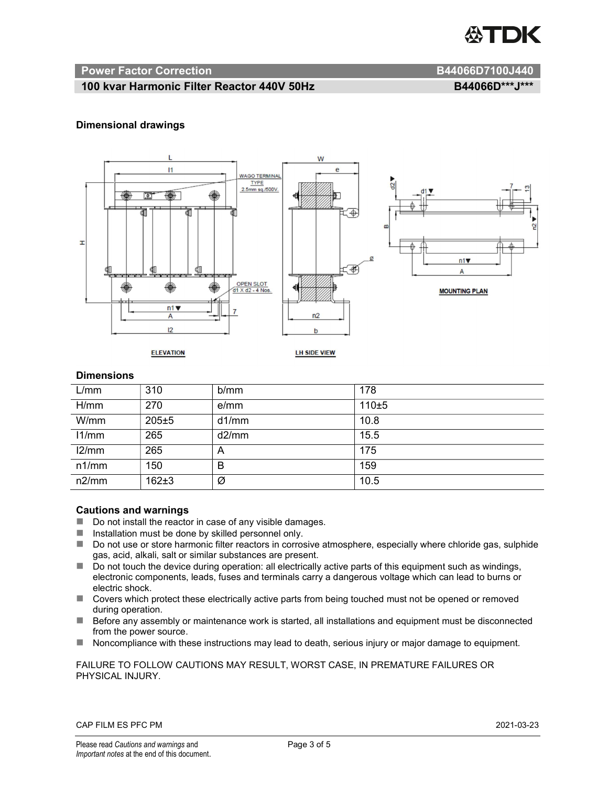

#### Power Factor Correction and B44066D7100J440

#### 100 kvar Harmonic Filter Reactor 440V 50Hz B44066D\*\*\*J\*\*\*

#### Dimensional drawings



#### **Dimensions**

| L/mm  | 310       | b/mm  | 178   |
|-------|-----------|-------|-------|
| H/mm  | 270       | e/mm  | 110±5 |
| W/mm  | $205 + 5$ | d1/mm | 10.8  |
| 11/mm | 265       | d2/mm | 15.5  |
| 12/mm | 265       | A     | 175   |
| n1/mm | 150       | B     | 159   |
| n2/mm | $162 + 3$ | Ø     | 10.5  |

#### Cautions and warnings

- Do not install the reactor in case of any visible damages.
- $\blacksquare$  Installation must be done by skilled personnel only.
- Do not use or store harmonic filter reactors in corrosive atmosphere, especially where chloride gas, sulphide gas, acid, alkali, salt or similar substances are present.
- $\Box$  Do not touch the device during operation: all electrically active parts of this equipment such as windings, electronic components, leads, fuses and terminals carry a dangerous voltage which can lead to burns or electric shock.
- Covers which protect these electrically active parts from being touched must not be opened or removed during operation.
- Before any assembly or maintenance work is started, all installations and equipment must be disconnected from the power source.
- Noncompliance with these instructions may lead to death, serious injury or major damage to equipment.

#### FAILURE TO FOLLOW CAUTIONS MAY RESULT, WORST CASE, IN PREMATURE FAILURES OR PHYSICAL INJURY.

#### CAP FILM ES PFC PM 2021-03-23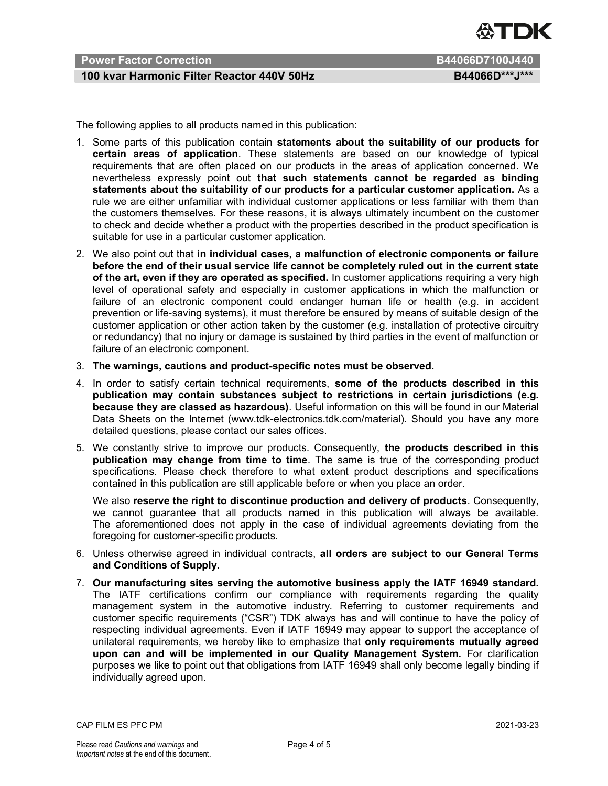

### Power Factor Correction **B44066D7100J440**

#### 100 kvar Harmonic Filter Reactor 440V 50Hz B44066D\*\*\*J\*\*\*

The following applies to all products named in this publication:

- 1. Some parts of this publication contain statements about the suitability of our products for certain areas of application. These statements are based on our knowledge of typical requirements that are often placed on our products in the areas of application concerned. We nevertheless expressly point out that such statements cannot be regarded as binding statements about the suitability of our products for a particular customer application. As a rule we are either unfamiliar with individual customer applications or less familiar with them than the customers themselves. For these reasons, it is always ultimately incumbent on the customer to check and decide whether a product with the properties described in the product specification is suitable for use in a particular customer application.
- 2. We also point out that in individual cases, a malfunction of electronic components or failure before the end of their usual service life cannot be completely ruled out in the current state of the art, even if they are operated as specified. In customer applications requiring a very high level of operational safety and especially in customer applications in which the malfunction or failure of an electronic component could endanger human life or health (e.g. in accident prevention or life-saving systems), it must therefore be ensured by means of suitable design of the customer application or other action taken by the customer (e.g. installation of protective circuitry or redundancy) that no injury or damage is sustained by third parties in the event of malfunction or failure of an electronic component.
- 3. The warnings, cautions and product-specific notes must be observed.
- 4. In order to satisfy certain technical requirements, some of the products described in this publication may contain substances subject to restrictions in certain jurisdictions (e.g. because they are classed as hazardous). Useful information on this will be found in our Material Data Sheets on the Internet (www.tdk-electronics.tdk.com/material). Should you have any more detailed questions, please contact our sales offices.
- 5. We constantly strive to improve our products. Consequently, the products described in this publication may change from time to time. The same is true of the corresponding product specifications. Please check therefore to what extent product descriptions and specifications contained in this publication are still applicable before or when you place an order.

We also reserve the right to discontinue production and delivery of products. Consequently, we cannot guarantee that all products named in this publication will always be available. The aforementioned does not apply in the case of individual agreements deviating from the foregoing for customer-specific products.

- 6. Unless otherwise agreed in individual contracts, all orders are subject to our General Terms and Conditions of Supply.
- 7. Our manufacturing sites serving the automotive business apply the IATF 16949 standard. The IATF certifications confirm our compliance with requirements regarding the quality management system in the automotive industry. Referring to customer requirements and customer specific requirements ("CSR") TDK always has and will continue to have the policy of respecting individual agreements. Even if IATF 16949 may appear to support the acceptance of unilateral requirements, we hereby like to emphasize that only requirements mutually agreed upon can and will be implemented in our Quality Management System. For clarification purposes we like to point out that obligations from IATF 16949 shall only become legally binding if individually agreed upon.